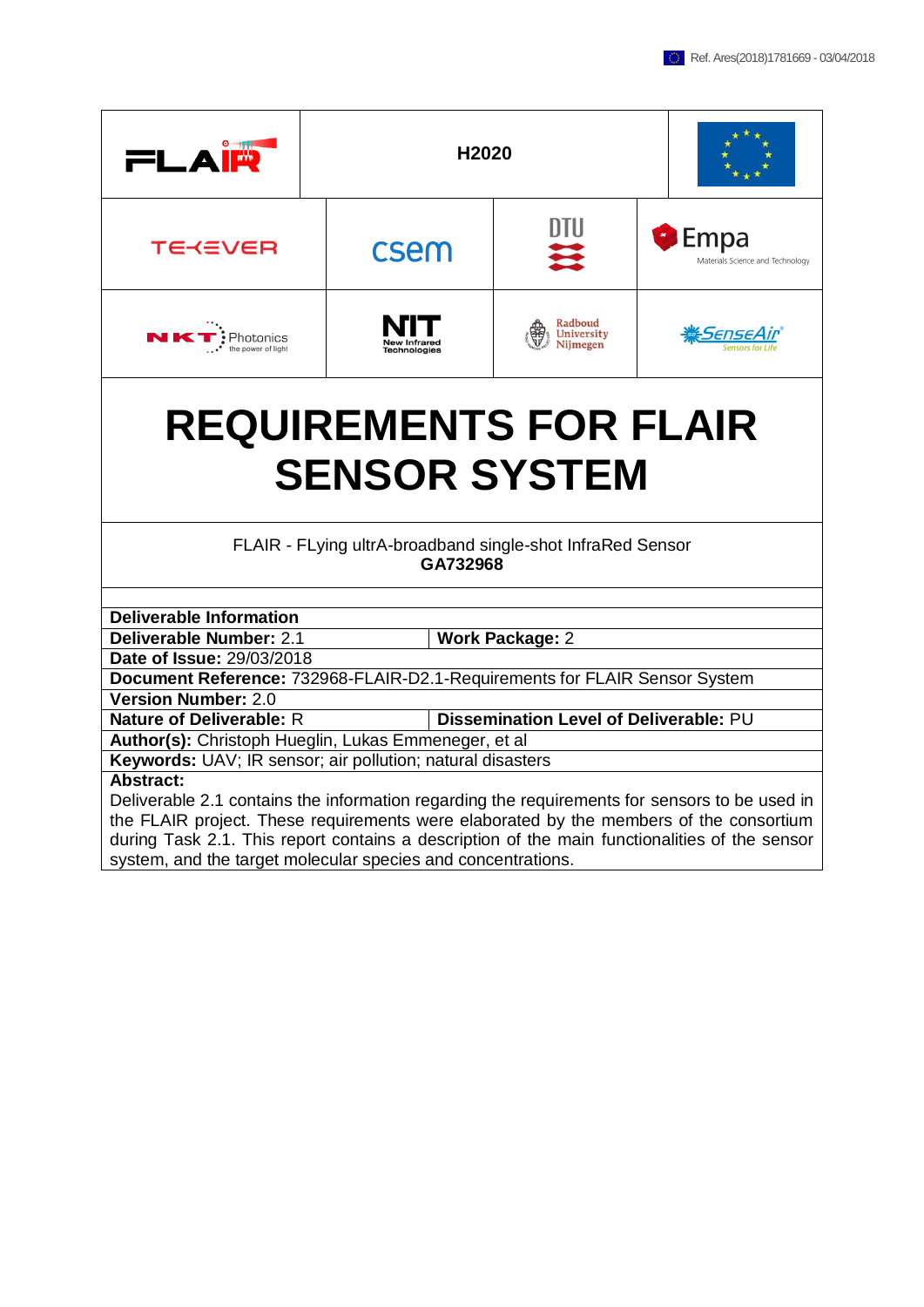| FLA<br>⊺₩                                                                                                | H2020                                                                  |                                        |                                                 |  |  |  |  |  |
|----------------------------------------------------------------------------------------------------------|------------------------------------------------------------------------|----------------------------------------|-------------------------------------------------|--|--|--|--|--|
| TE≺≡VER                                                                                                  | csem                                                                   | UIU                                    | <b>Empa</b><br>Materials Science and Technology |  |  |  |  |  |
| NK <sup>.</sup><br>Photonics<br>the power of light                                                       |                                                                        | Radboud<br>University<br>Nijmegen      | <u>:SenseAir</u>                                |  |  |  |  |  |
| <b>REQUIREMENTS FOR FLAIR</b><br><b>SENSOR SYSTEM</b>                                                    |                                                                        |                                        |                                                 |  |  |  |  |  |
|                                                                                                          | FLAIR - FLying ultrA-broadband single-shot InfraRed Sensor<br>GA732968 |                                        |                                                 |  |  |  |  |  |
|                                                                                                          |                                                                        |                                        |                                                 |  |  |  |  |  |
| <b>Deliverable Information</b><br>Deliverable Number: 2.1                                                |                                                                        |                                        |                                                 |  |  |  |  |  |
| Date of Issue: 29/03/2018                                                                                |                                                                        | <b>Work Package: 2</b>                 |                                                 |  |  |  |  |  |
|                                                                                                          |                                                                        |                                        |                                                 |  |  |  |  |  |
| Document Reference: 732968-FLAIR-D2.1-Requirements for FLAIR Sensor System<br><b>Version Number: 2.0</b> |                                                                        |                                        |                                                 |  |  |  |  |  |
| <b>Nature of Deliverable: R</b>                                                                          |                                                                        | Dissemination Level of Deliverable: PU |                                                 |  |  |  |  |  |
| Author(s): Christoph Hueglin, Lukas Emmeneger, et al                                                     |                                                                        |                                        |                                                 |  |  |  |  |  |
| Keywords: UAV; IR sensor; air pollution; natural disasters                                               |                                                                        |                                        |                                                 |  |  |  |  |  |
| <b>Abstract:</b>                                                                                         |                                                                        |                                        |                                                 |  |  |  |  |  |
| Deliverable 2.1 contains the information regarding the requirements for sensors to be used in            |                                                                        |                                        |                                                 |  |  |  |  |  |

the FLAIR project. These requirements were elaborated by the members of the consortium during Task 2.1. This report contains a description of the main functionalities of the sensor system, and the target molecular species and concentrations.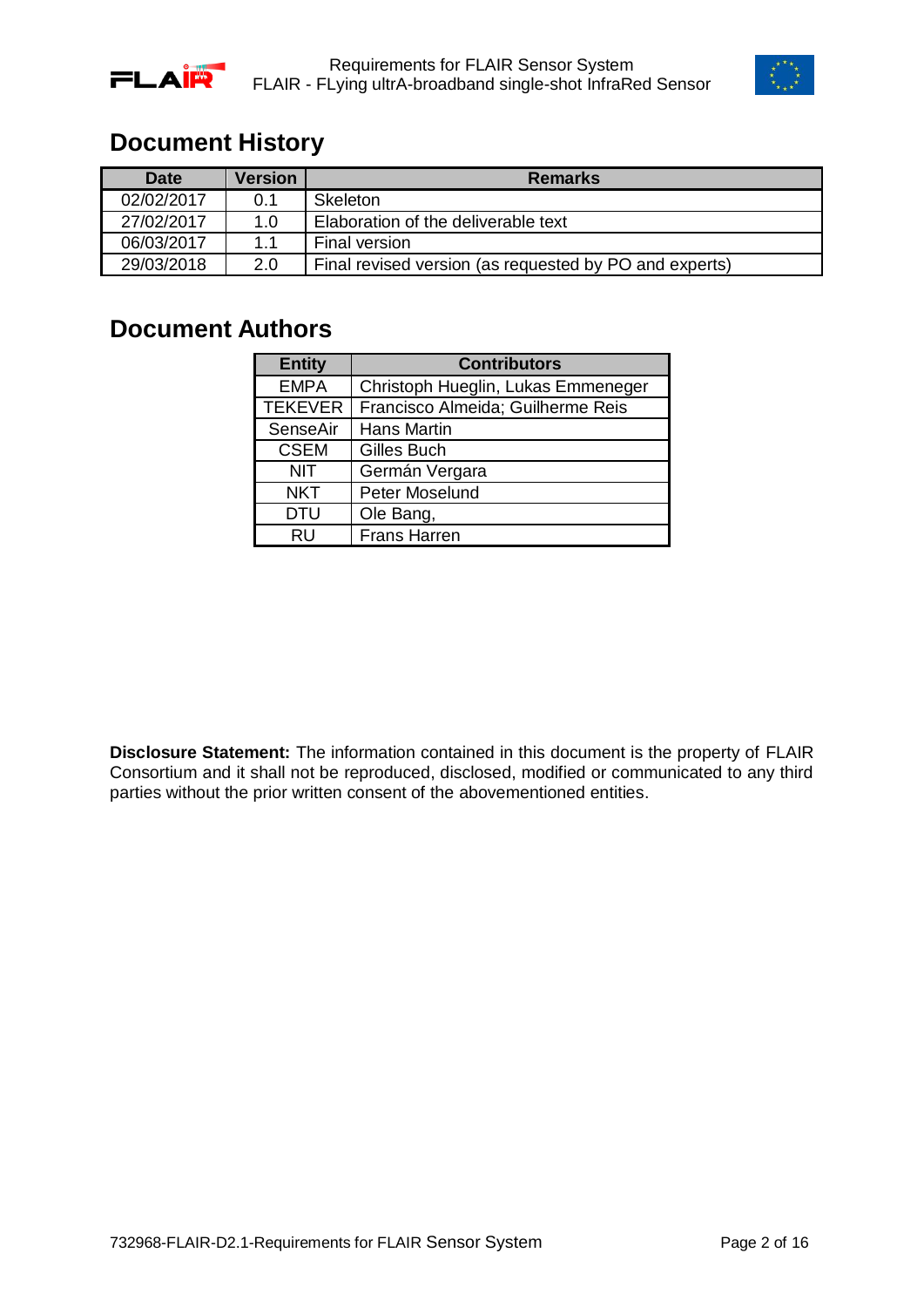



### <span id="page-1-0"></span>**Document History**

| <b>Date</b> | <b>Version</b> | <b>Remarks</b>                                         |
|-------------|----------------|--------------------------------------------------------|
| 02/02/2017  | 0.1            | <b>Skeleton</b>                                        |
| 27/02/2017  | 1.0            | Elaboration of the deliverable text                    |
| 06/03/2017  | 11             | <b>Final version</b>                                   |
| 29/03/2018  | 2.0            | Final revised version (as requested by PO and experts) |

### <span id="page-1-1"></span>**Document Authors**

| <b>Entity</b>  | <b>Contributors</b>                |
|----------------|------------------------------------|
| <b>EMPA</b>    | Christoph Hueglin, Lukas Emmeneger |
| <b>TEKEVER</b> | Francisco Almeida; Guilherme Reis  |
| SenseAir       | <b>Hans Martin</b>                 |
| <b>CSEM</b>    | Gilles Buch                        |
| <b>NIT</b>     | Germán Vergara                     |
| <b>NKT</b>     | Peter Moselund                     |
| <b>DTU</b>     | Ole Bang,                          |
| RU             | <b>Frans Harren</b>                |

**Disclosure Statement:** The information contained in this document is the property of FLAIR Consortium and it shall not be reproduced, disclosed, modified or communicated to any third parties without the prior written consent of the abovementioned entities.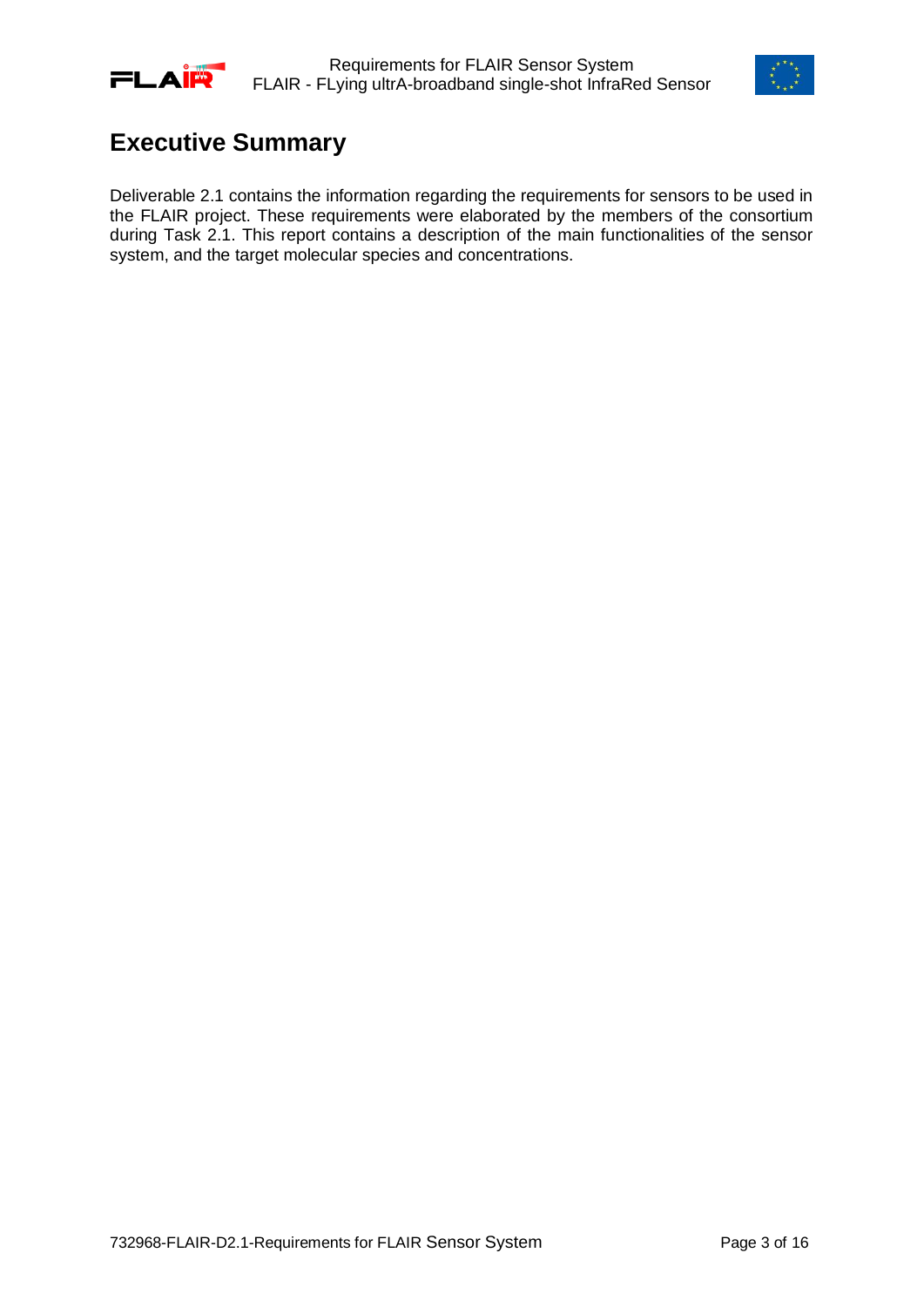



## <span id="page-2-0"></span>**Executive Summary**

Deliverable 2.1 contains the information regarding the requirements for sensors to be used in the FLAIR project. These requirements were elaborated by the members of the consortium during Task 2.1. This report contains a description of the main functionalities of the sensor system, and the target molecular species and concentrations.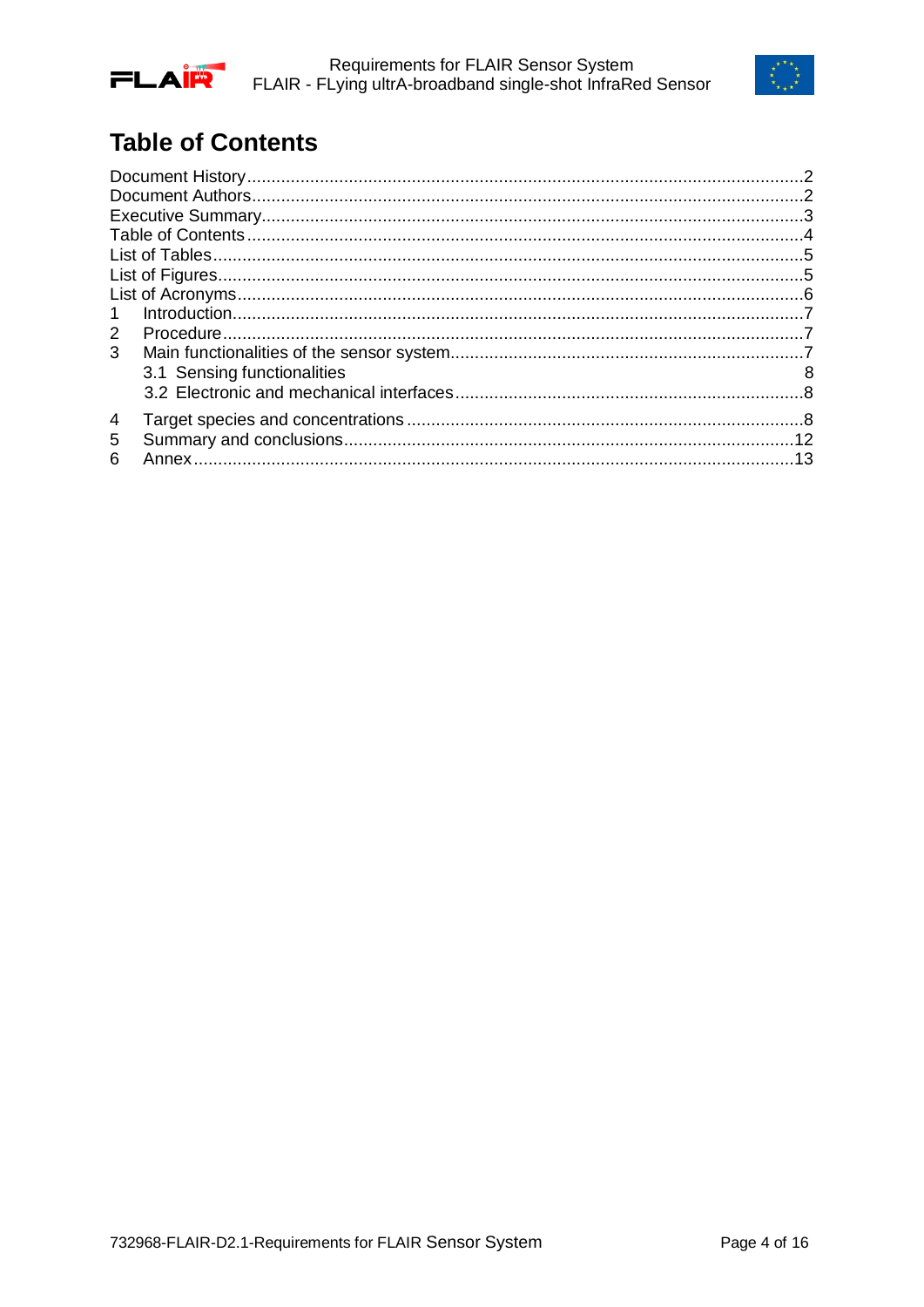



# <span id="page-3-0"></span>**Table of Contents**

| $\mathbf{1}$ |                             |   |
|--------------|-----------------------------|---|
| 2            |                             |   |
| 3            |                             |   |
|              | 3.1 Sensing functionalities | 8 |
|              |                             |   |
| 4            |                             |   |
| 5            |                             |   |
| 6            |                             |   |
|              |                             |   |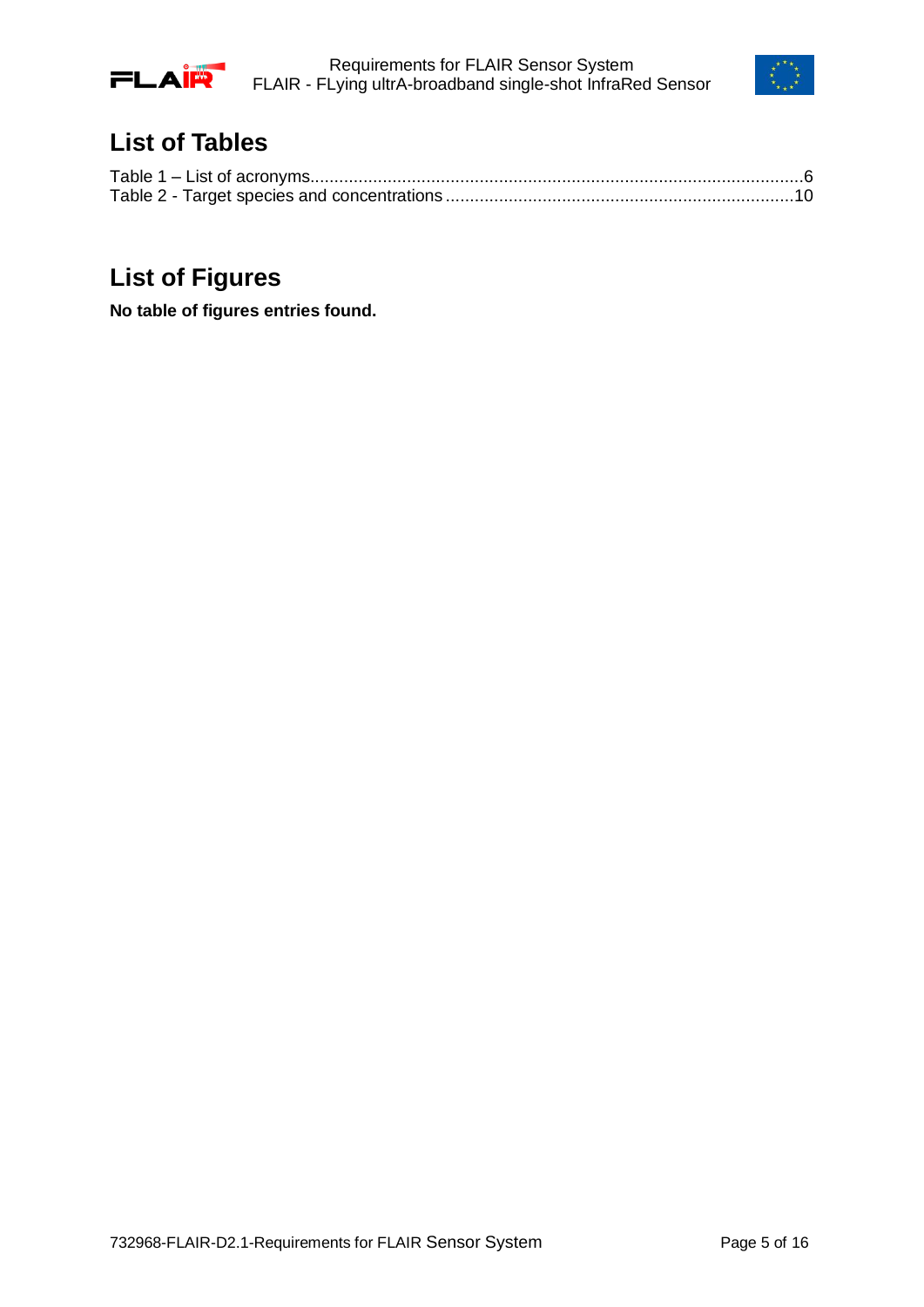



## <span id="page-4-0"></span>**List of Tables**

## <span id="page-4-1"></span>**List of Figures**

**No table of figures entries found.**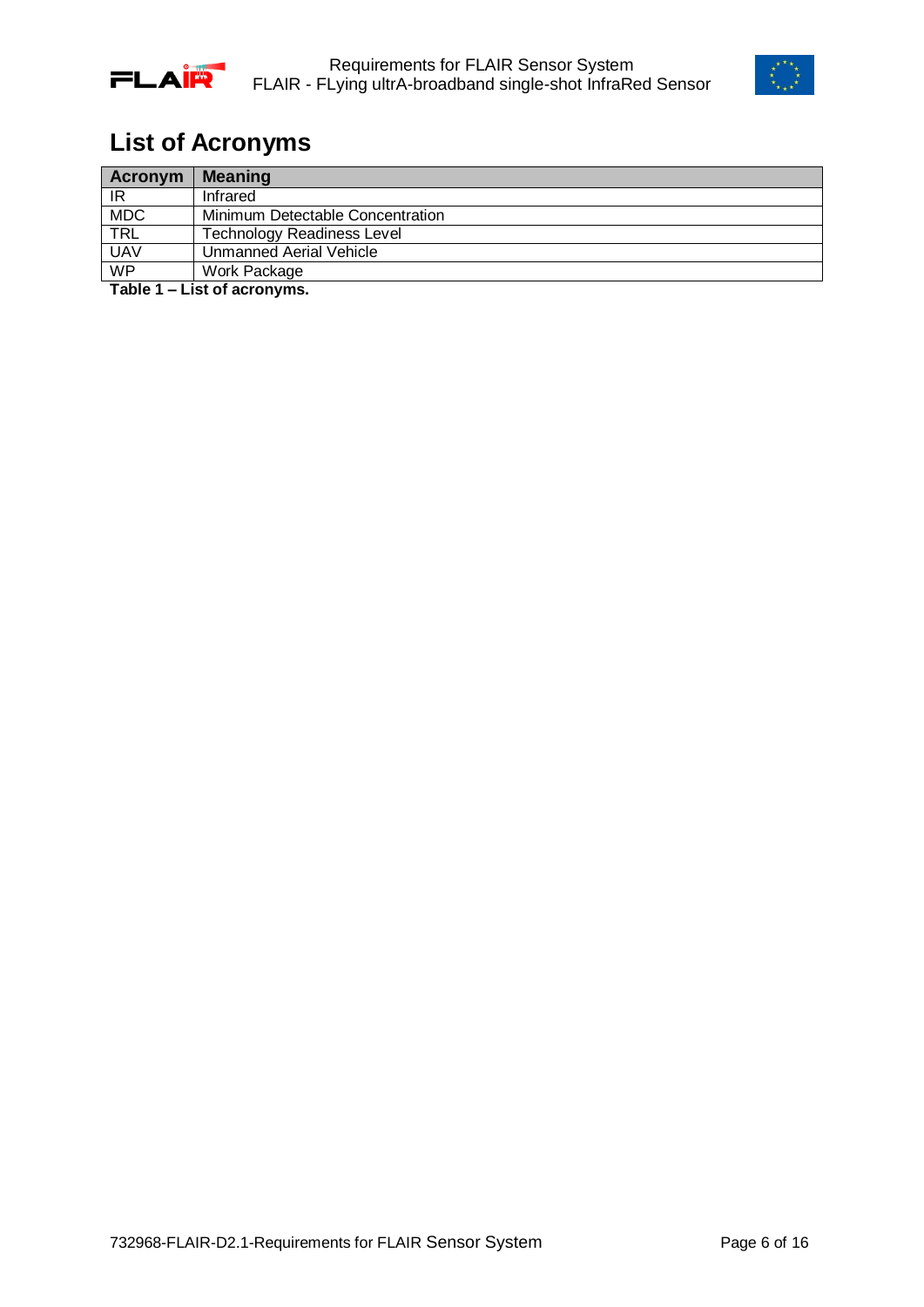



# <span id="page-5-0"></span>**List of Acronyms**

| Acronym    | <b>Meaning</b>                    |
|------------|-----------------------------------|
| IR         | Infrared                          |
| <b>MDC</b> | Minimum Detectable Concentration  |
| <b>TRL</b> | <b>Technology Readiness Level</b> |
| <b>UAV</b> | Unmanned Aerial Vehicle           |
| WP         | Work Package                      |

<span id="page-5-1"></span>**Table 1 – List of acronyms.**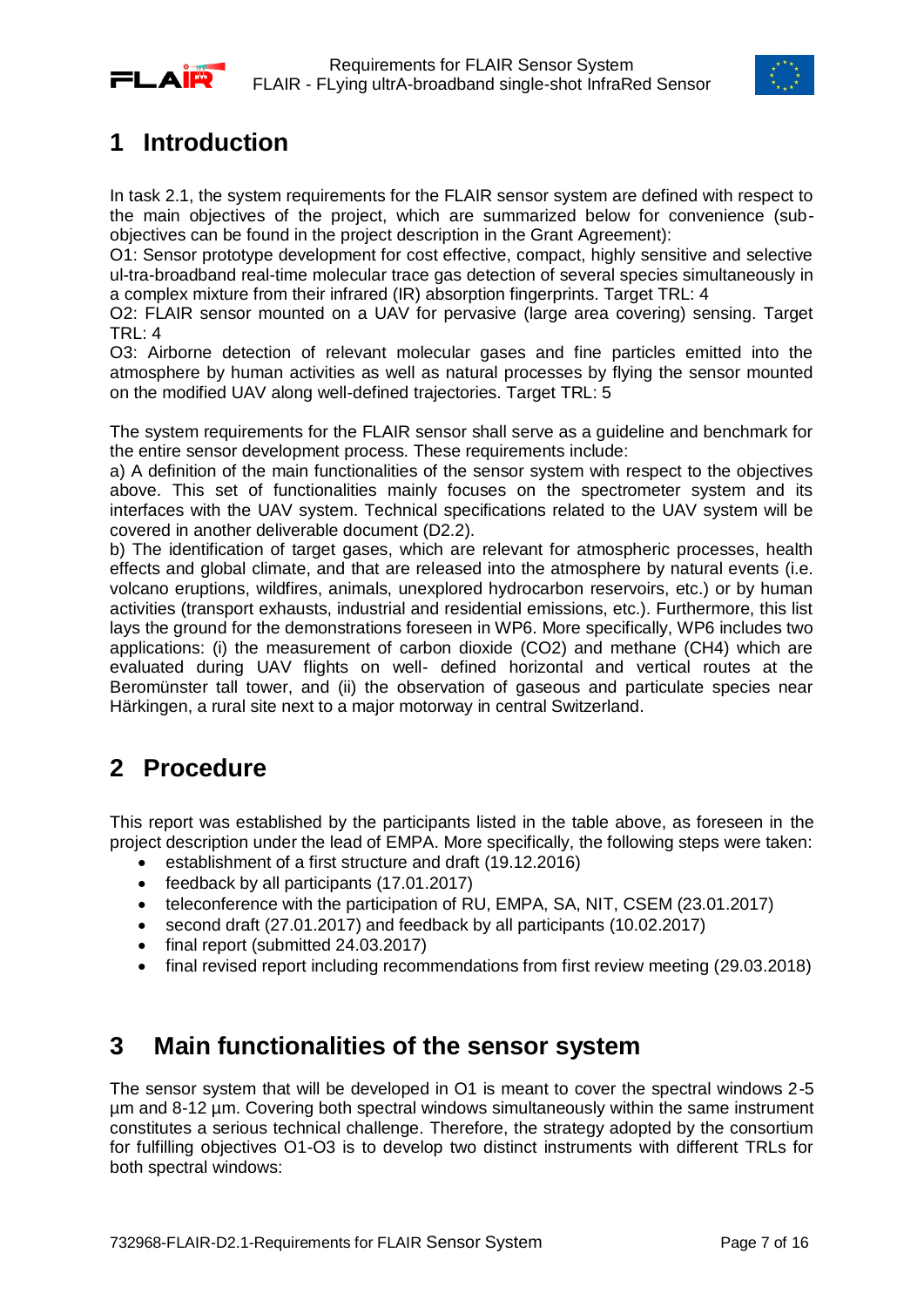



## <span id="page-6-0"></span>**1 Introduction**

In task 2.1, the system requirements for the FLAIR sensor system are defined with respect to the main objectives of the project, which are summarized below for convenience (subobjectives can be found in the project description in the Grant Agreement):

O1: Sensor prototype development for cost effective, compact, highly sensitive and selective ul-tra-broadband real-time molecular trace gas detection of several species simultaneously in a complex mixture from their infrared (IR) absorption fingerprints. Target TRL: 4

O2: FLAIR sensor mounted on a UAV for pervasive (large area covering) sensing. Target TRL: 4

O3: Airborne detection of relevant molecular gases and fine particles emitted into the atmosphere by human activities as well as natural processes by flying the sensor mounted on the modified UAV along well-defined trajectories. Target TRL: 5

The system requirements for the FLAIR sensor shall serve as a guideline and benchmark for the entire sensor development process. These requirements include:

a) A definition of the main functionalities of the sensor system with respect to the objectives above. This set of functionalities mainly focuses on the spectrometer system and its interfaces with the UAV system. Technical specifications related to the UAV system will be covered in another deliverable document (D2.2).

b) The identification of target gases, which are relevant for atmospheric processes, health effects and global climate, and that are released into the atmosphere by natural events (i.e. volcano eruptions, wildfires, animals, unexplored hydrocarbon reservoirs, etc.) or by human activities (transport exhausts, industrial and residential emissions, etc.). Furthermore, this list lays the ground for the demonstrations foreseen in WP6. More specifically, WP6 includes two applications: (i) the measurement of carbon dioxide (CO2) and methane (CH4) which are evaluated during UAV flights on well- defined horizontal and vertical routes at the Beromünster tall tower, and (ii) the observation of gaseous and particulate species near Härkingen, a rural site next to a major motorway in central Switzerland.

## <span id="page-6-1"></span>**2 Procedure**

This report was established by the participants listed in the table above, as foreseen in the project description under the lead of EMPA. More specifically, the following steps were taken:

- establishment of a first structure and draft (19.12.2016)
- feedback by all participants (17.01.2017)
- teleconference with the participation of RU, EMPA, SA, NIT, CSEM (23.01.2017)
- second draft (27.01.2017) and feedback by all participants (10.02.2017)
- final report (submitted 24.03.2017)
- <span id="page-6-2"></span>• final revised report including recommendations from first review meeting (29.03.2018)

### **3 Main functionalities of the sensor system**

The sensor system that will be developed in O1 is meant to cover the spectral windows 2-5 µm and 8-12 µm. Covering both spectral windows simultaneously within the same instrument constitutes a serious technical challenge. Therefore, the strategy adopted by the consortium for fulfilling objectives O1-O3 is to develop two distinct instruments with different TRLs for both spectral windows: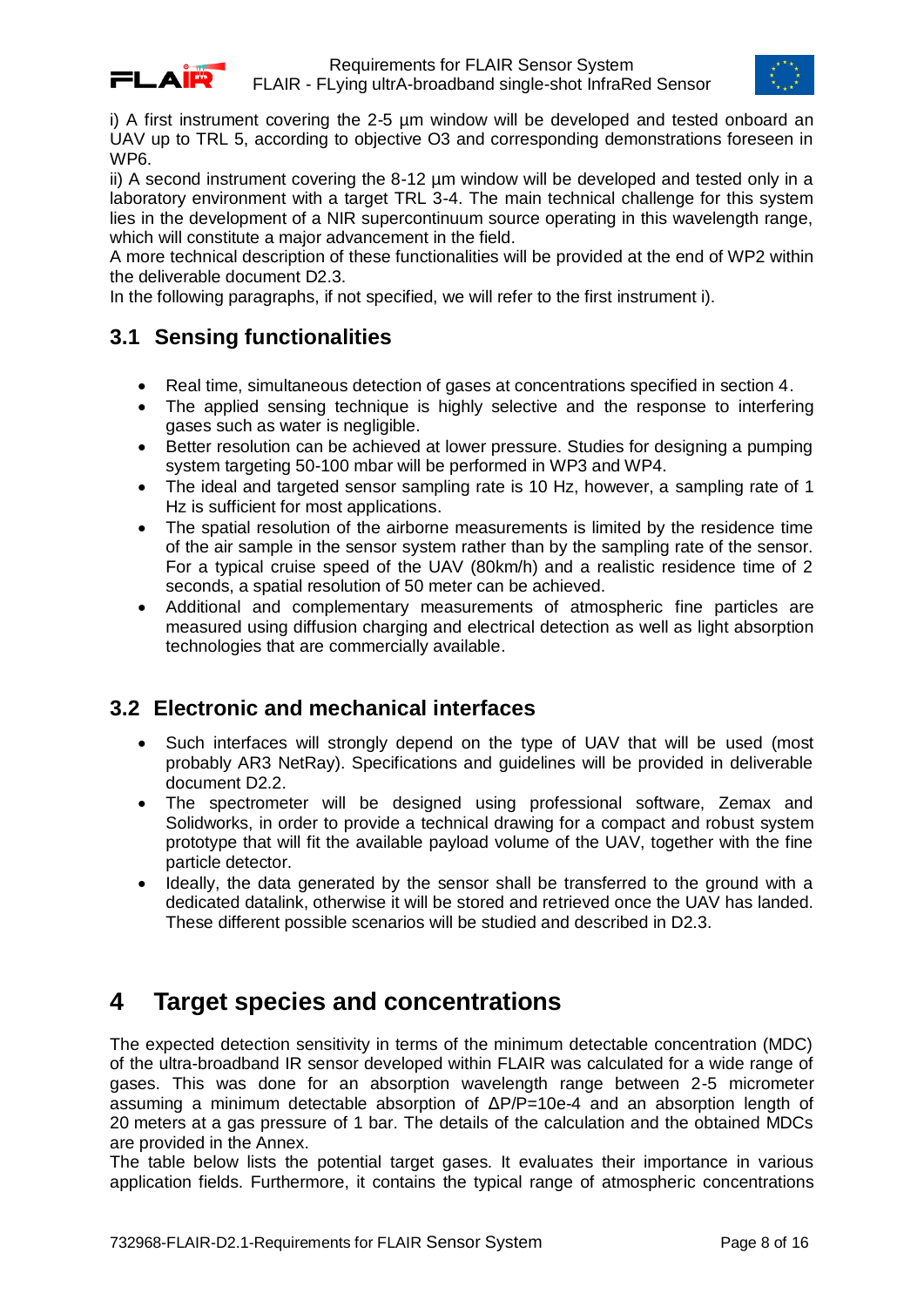



i) A first instrument covering the 2-5 µm window will be developed and tested onboard an UAV up to TRL 5, according to objective O3 and corresponding demonstrations foreseen in WP6.

ii) A second instrument covering the 8-12 µm window will be developed and tested only in a laboratory environment with a target TRL 3-4. The main technical challenge for this system lies in the development of a NIR supercontinuum source operating in this wavelength range, which will constitute a major advancement in the field.

A more technical description of these functionalities will be provided at the end of WP2 within the deliverable document D2.3.

In the following paragraphs, if not specified, we will refer to the first instrument i).

### <span id="page-7-0"></span>**3.1 Sensing functionalities**

- Real time, simultaneous detection of gases at concentrations specified in section 4.
- The applied sensing technique is highly selective and the response to interfering gases such as water is negligible.
- Better resolution can be achieved at lower pressure. Studies for designing a pumping system targeting 50-100 mbar will be performed in WP3 and WP4.
- The ideal and targeted sensor sampling rate is 10 Hz, however, a sampling rate of 1 Hz is sufficient for most applications.
- The spatial resolution of the airborne measurements is limited by the residence time of the air sample in the sensor system rather than by the sampling rate of the sensor. For a typical cruise speed of the UAV (80km/h) and a realistic residence time of 2 seconds, a spatial resolution of 50 meter can be achieved.
- Additional and complementary measurements of atmospheric fine particles are measured using diffusion charging and electrical detection as well as light absorption technologies that are commercially available.

### <span id="page-7-1"></span>**3.2 Electronic and mechanical interfaces**

- Such interfaces will strongly depend on the type of UAV that will be used (most probably AR3 NetRay). Specifications and guidelines will be provided in deliverable document D2.2.
- The spectrometer will be designed using professional software, Zemax and Solidworks, in order to provide a technical drawing for a compact and robust system prototype that will fit the available payload volume of the UAV, together with the fine particle detector.
- Ideally, the data generated by the sensor shall be transferred to the ground with a dedicated datalink, otherwise it will be stored and retrieved once the UAV has landed. These different possible scenarios will be studied and described in D2.3.

## <span id="page-7-2"></span>**4 Target species and concentrations**

The expected detection sensitivity in terms of the minimum detectable concentration (MDC) of the ultra-broadband IR sensor developed within FLAIR was calculated for a wide range of gases. This was done for an absorption wavelength range between 2-5 micrometer assuming a minimum detectable absorption of  $\Delta P/P=10e-4$  and an absorption length of 20 meters at a gas pressure of 1 bar. The details of the calculation and the obtained MDCs are provided in the Annex.

The table below lists the potential target gases. It evaluates their importance in various application fields. Furthermore, it contains the typical range of atmospheric concentrations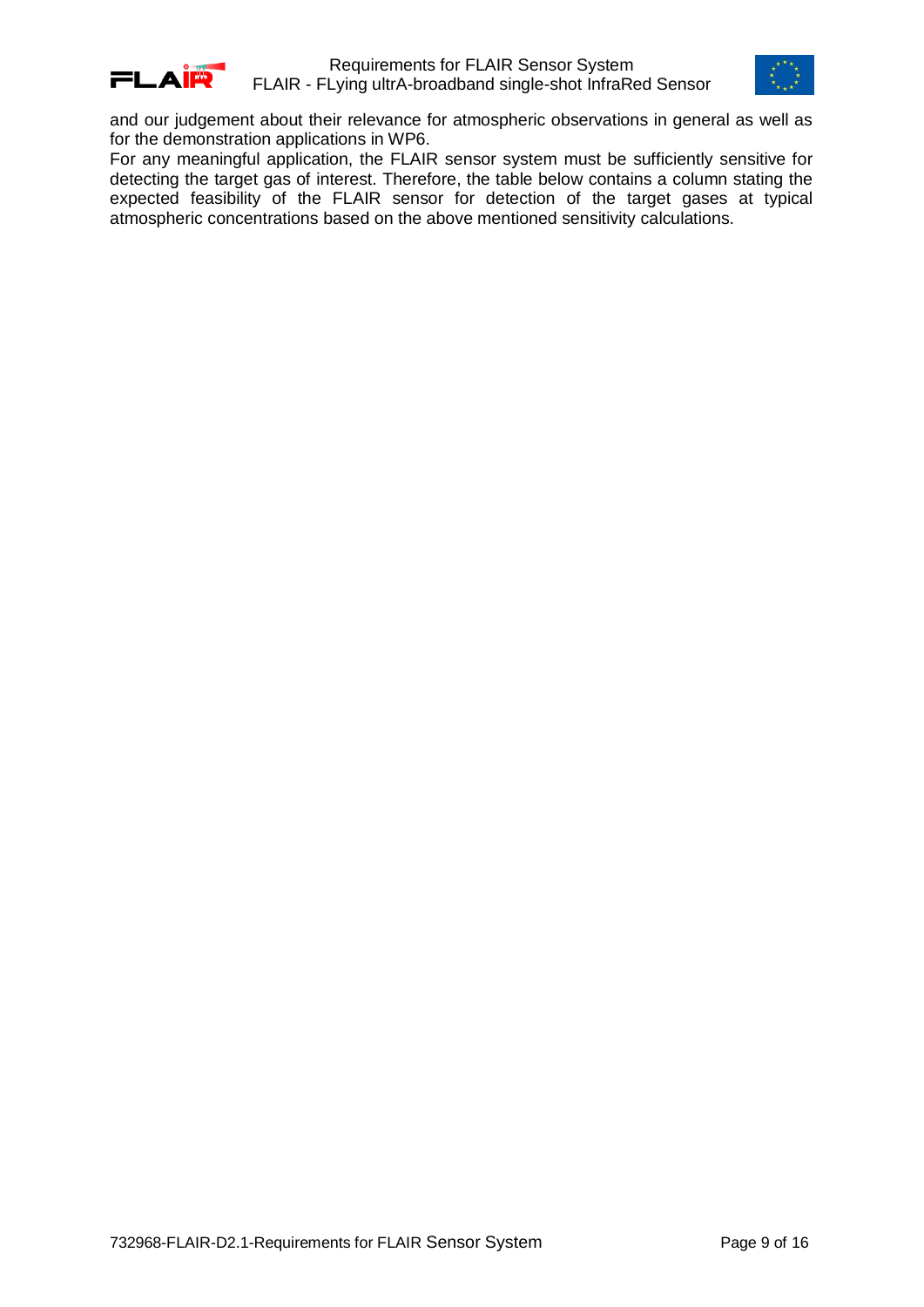



and our judgement about their relevance for atmospheric observations in general as well as for the demonstration applications in WP6.

For any meaningful application, the FLAIR sensor system must be sufficiently sensitive for detecting the target gas of interest. Therefore, the table below contains a column stating the expected feasibility of the FLAIR sensor for detection of the target gases at typical atmospheric concentrations based on the above mentioned sensitivity calculations.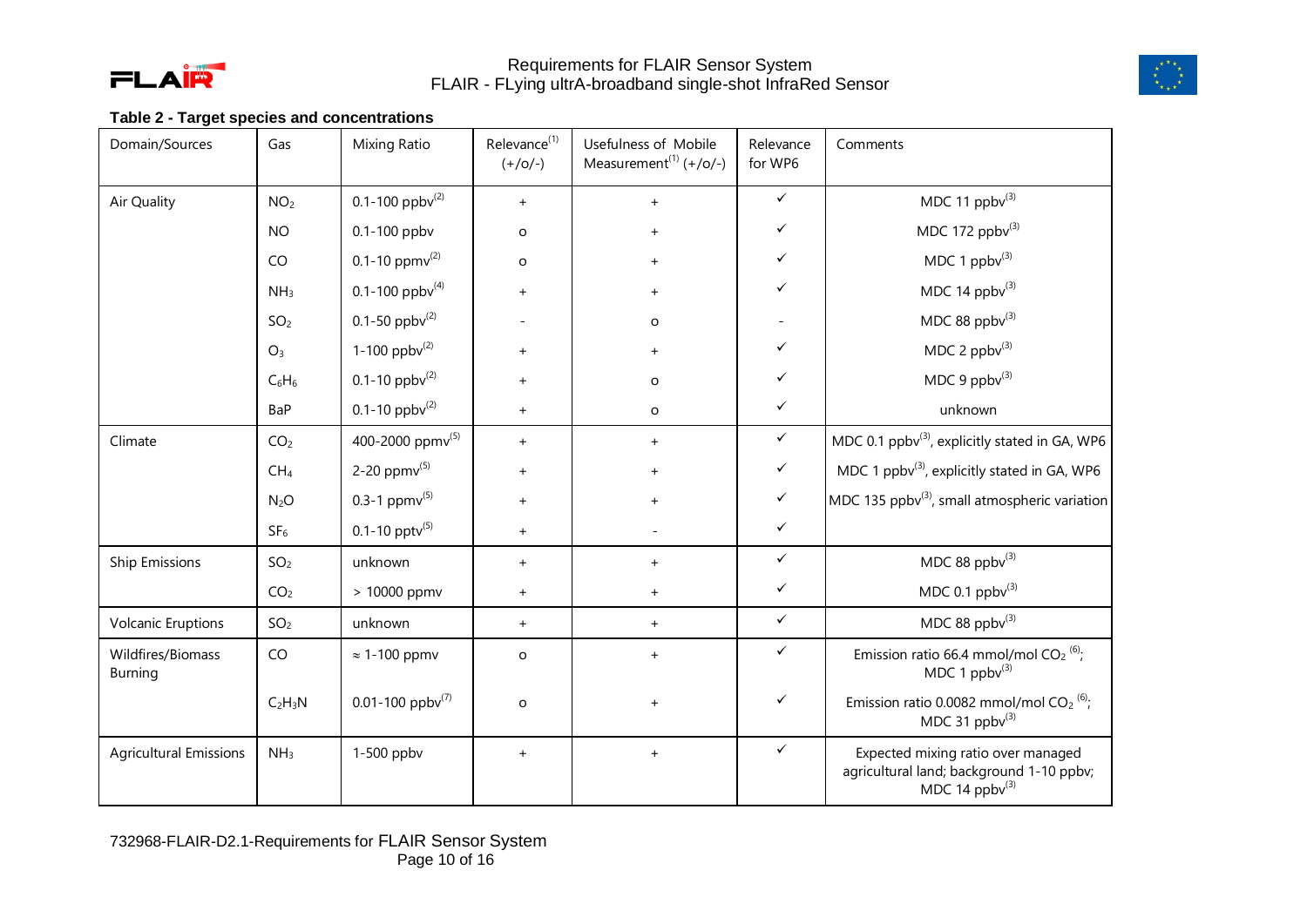



### **Table 2 - Target species and concentrations**

<span id="page-9-0"></span>

| Domain/Sources                      | Gas              | <b>Mixing Ratio</b>              | Relevance <sup>(1)</sup><br>$(+/o/-)$ | Usefulness of Mobile<br>Measurement <sup>(1)</sup> $(+/0/-)$ | Relevance<br>for WP6 | Comments                                                                                              |
|-------------------------------------|------------------|----------------------------------|---------------------------------------|--------------------------------------------------------------|----------------------|-------------------------------------------------------------------------------------------------------|
| <b>Air Quality</b>                  | NO <sub>2</sub>  | 0.1-100 $ppbv^{(2)}$             | $+$                                   | $\ddot{}$                                                    | $\checkmark$         | MDC 11 $ppbv^{(3)}$                                                                                   |
|                                     | <b>NO</b>        | 0.1-100 ppbv                     | o                                     |                                                              | ✓                    | MDC 172 $ppbv^{(3)}$                                                                                  |
|                                     | CO               | 0.1-10 ppm $v^{(2)}$             | $\mathsf{o}\xspace$                   | $\ddot{}$                                                    | ✓                    | MDC 1 $ppbv^{(3)}$                                                                                    |
|                                     | NH <sub>3</sub>  | 0.1-100 ppb $v^{(4)}$            | $\ddot{}$                             | $^{+}$                                                       | ✓                    | MDC 14 $ppbv^{(3)}$                                                                                   |
|                                     | SO <sub>2</sub>  | 0.1-50 ppb $v^{(2)}$             |                                       | O                                                            |                      | MDC 88 ppb $v^{(3)}$                                                                                  |
|                                     | $O_3$            | 1-100 ppb $v^{(2)}$              | $+$                                   | $+$                                                          | ✓                    | MDC 2 $ppbv^{(3)}$                                                                                    |
|                                     | $C_6H_6$         | 0.1-10 $ppbv^{(2)}$              |                                       | o                                                            | ✓                    | MDC 9 $ppbv^{(3)}$                                                                                    |
|                                     | BaP              | 0.1-10 $ppbv^{(2)}$              | $+$                                   | O                                                            | $\checkmark$         | unknown                                                                                               |
| Climate                             | CO <sub>2</sub>  | 400-2000 ppmv(5)                 | $+$                                   | $+$                                                          | $\checkmark$         | MDC 0.1 ppbv(3), explicitly stated in GA, WP6                                                         |
|                                     | CH <sub>4</sub>  | 2-20 ppm $v^{(5)}$               | $\ddot{}$                             | $\ddot{}$                                                    | $\checkmark$         | MDC 1 ppbv <sup>(3)</sup> , explicitly stated in GA, WP6                                              |
|                                     | N <sub>2</sub> O | 0.3-1 $ppmv^{(5)}$               | $\ddot{}$                             |                                                              | $\checkmark$         | MDC 135 ppbv <sup>(3)</sup> , small atmospheric variation                                             |
|                                     | SF <sub>6</sub>  | $0.1 - 10$ pptv <sup>(5)</sup>   | $\ddot{}$                             |                                                              | $\checkmark$         |                                                                                                       |
| <b>Ship Emissions</b>               | SO <sub>2</sub>  | unknown                          | $+$                                   | $+$                                                          | $\checkmark$         | MDC 88 $ppbv$ <sup>(3)</sup>                                                                          |
|                                     | CO <sub>2</sub>  | > 10000 ppmv                     | $\ddot{}$                             | $+$                                                          | $\checkmark$         | MDC 0.1 $ppbv^{(3)}$                                                                                  |
| <b>Volcanic Eruptions</b>           | SO <sub>2</sub>  | unknown                          | $+$                                   | $+$                                                          | $\checkmark$         | MDC 88 ppb $v^{(3)}$                                                                                  |
| Wildfires/Biomass<br><b>Burning</b> | CO               | $\approx$ 1-100 ppmv             | $\mathsf{o}\,$                        | $+$                                                          | $\checkmark$         | Emission ratio 66.4 mmol/mol CO <sub>2</sub> <sup>(6)</sup> ;<br>MDC 1 $ppbv^{(3)}$                   |
|                                     | $C_2H_3N$        | $0.01 - 100$ ppbv <sup>(7)</sup> | O                                     | $+$                                                          | $\checkmark$         | Emission ratio 0.0082 mmol/mol $CO_2$ <sup>(6)</sup> ;<br>MDC 31 $ppbv$ <sup>(3)</sup>                |
| <b>Agricultural Emissions</b>       | NH <sub>3</sub>  | 1-500 ppbv                       | $+$                                   | $\ddot{}$                                                    | $\checkmark$         | Expected mixing ratio over managed<br>agricultural land; background 1-10 ppbv;<br>MDC 14 $ppbv^{(3)}$ |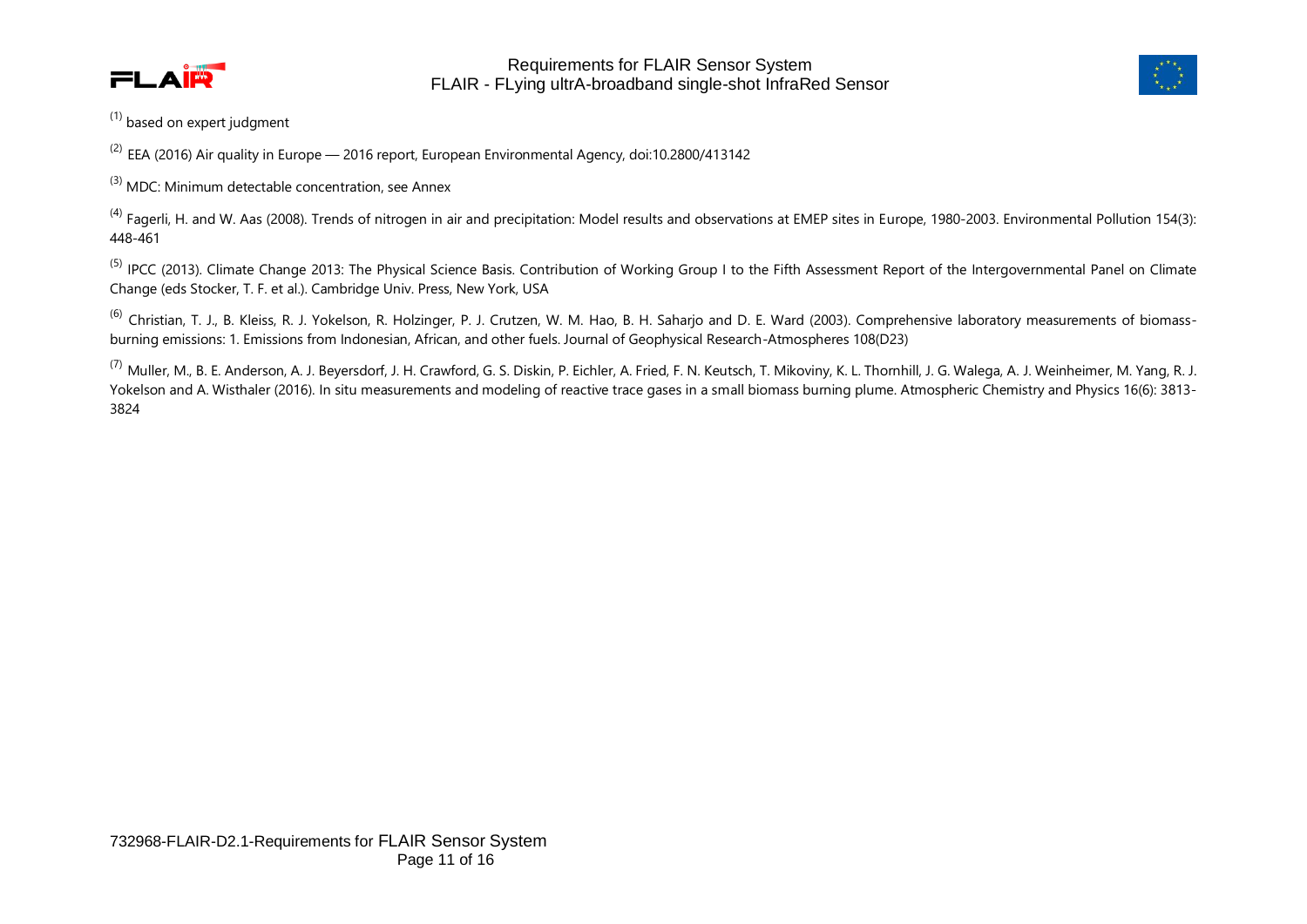



 $(1)$  based on expert judgment

 $^{(2)}$  EEA (2016) Air quality in Europe — 2016 report, European Environmental Agency, doi:10.2800/413142

 $^{(3)}$  MDC: Minimum detectable concentration, see Annex

 $^{(4)}$  Fagerli, H. and W. Aas (2008). Trends of nitrogen in air and precipitation: Model results and observations at EMEP sites in Europe, 1980-2003. Environmental Pollution 154(3): 448-461

<sup>(5)</sup> IPCC (2013). Climate Change 2013: The Physical Science Basis. Contribution of Working Group I to the Fifth Assessment Report of the Intergovernmental Panel on Climate Change (eds Stocker, T. F. et al.). Cambridge Univ. Press, New York, USA

 $^{(6)}$  Christian, T. J., B. Kleiss, R. J. Yokelson, R. Holzinger, P. J. Crutzen, W. M. Hao, B. H. Sahario and D. E. Ward (2003). Comprehensive laboratory measurements of biomassburning emissions: 1. Emissions from Indonesian, African, and other fuels. Journal of Geophysical Research-Atmospheres 108(D23)

<sup>(7)</sup> Muller, M., B. E. Anderson, A. J. Beyersdorf, J. H. Crawford, G. S. Diskin, P. Eichler, A. Fried, F. N. Keutsch, T. Mikoviny, K. L. Thornhill, J. G. Walega, A. J. Weinheimer, M. Yang, R. J. Yokelson and A. Wisthaler (2016). In situ measurements and modeling of reactive trace gases in a small biomass burning plume. Atmospheric Chemistry and Physics 16(6): 3813- 3824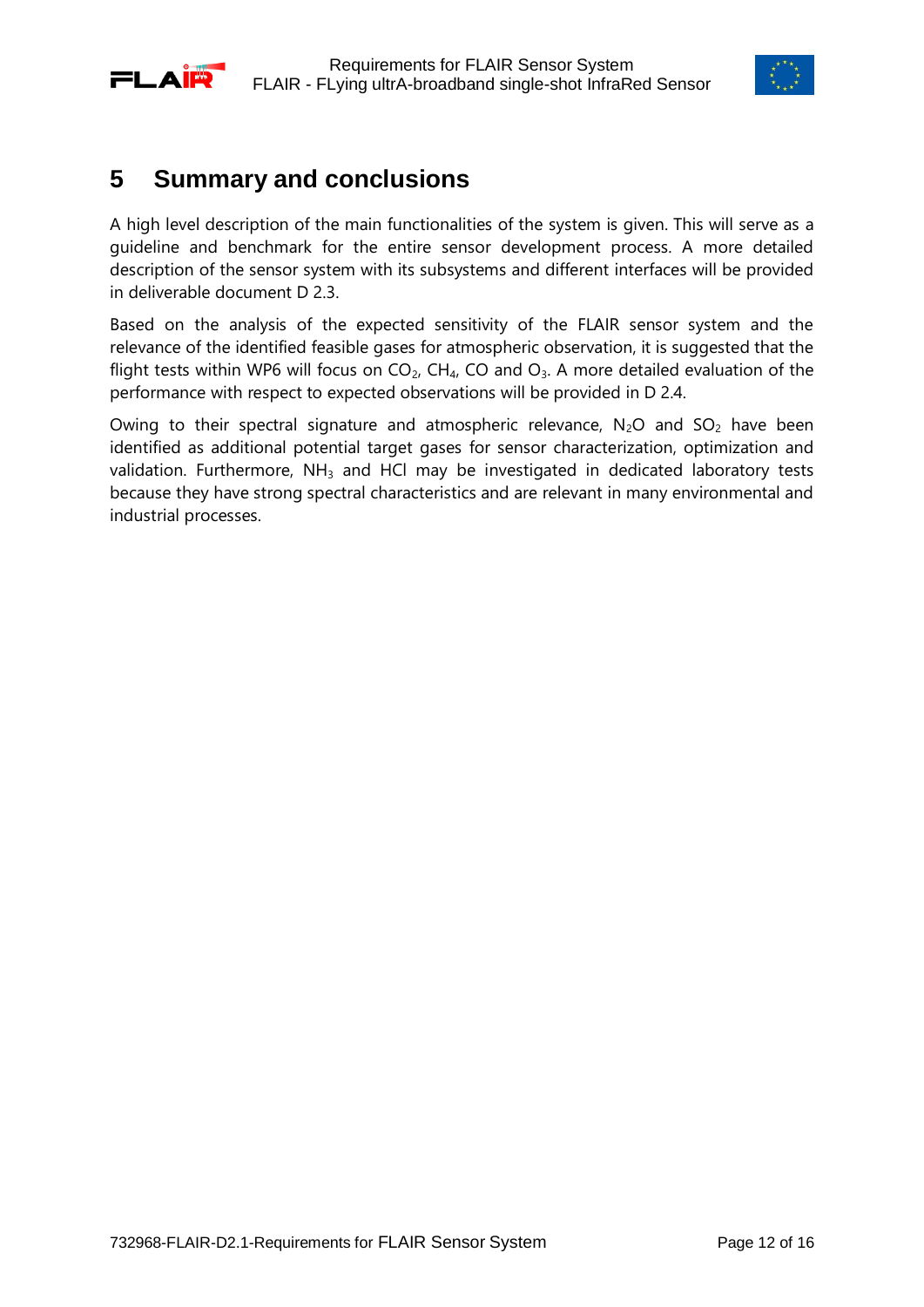<span id="page-11-0"></span>



### **5 Summary and conclusions**

A high level description of the main functionalities of the system is given. This will serve as a guideline and benchmark for the entire sensor development process. A more detailed description of the sensor system with its subsystems and different interfaces will be provided in deliverable document D 2.3.

Based on the analysis of the expected sensitivity of the FLAIR sensor system and the relevance of the identified feasible gases for atmospheric observation, it is suggested that the flight tests within WP6 will focus on  $CO<sub>2</sub>$ , CH<sub>4</sub>, CO and  $O<sub>3</sub>$ . A more detailed evaluation of the performance with respect to expected observations will be provided in D 2.4.

Owing to their spectral signature and atmospheric relevance,  $N_2O$  and  $SO_2$  have been identified as additional potential target gases for sensor characterization, optimization and validation. Furthermore,  $NH<sub>3</sub>$  and HCl may be investigated in dedicated laboratory tests because they have strong spectral characteristics and are relevant in many environmental and industrial processes.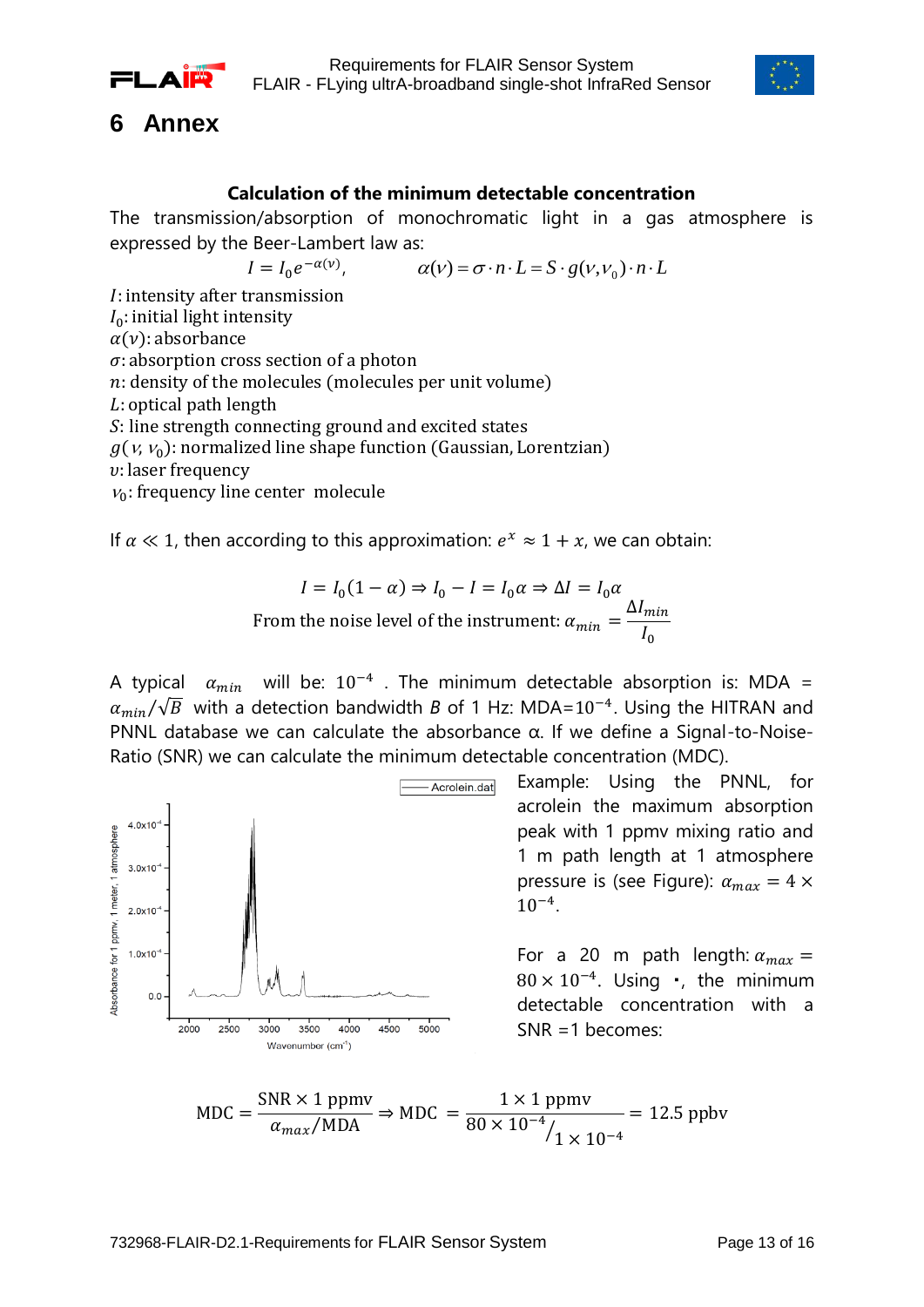



### <span id="page-12-0"></span>**6 Annex**

### **Calculation of the minimum detectable concentration**

The transmission/absorption of monochromatic light in a gas atmosphere is expressed by the Beer-Lambert law as:

,  $\alpha(\nu) = \sigma \cdot n \cdot L = S \cdot g(\nu, \nu_0) \cdot n \cdot L$ 

 $I = I_0 e^-$ *I*: intensity after transmission  $I_0$ : initial light intensity  $\alpha(\nu)$ : absorbance  $\sigma$ : absorption cross section of a photon  $n$ : density of the molecules (molecules per unit volume)  $L$ : optical path length S: line strength connecting ground and excited states  $g(v, v_0)$ : normalized line shape function (Gaussian, Lorentzian)  $v:$  laser frequency  $v_0$ : frequency line center molecule

If  $\alpha \ll 1$ , then according to this approximation:  $e^x \approx 1 + x$ , we can obtain:

$$
I = I_0(1 - \alpha) \Rightarrow I_0 - I = I_0 \alpha \Rightarrow \Delta I = I_0 \alpha
$$
  
From the noise level of the instrument:  $\alpha_{min} = \frac{\Delta I_{min}}{I_0}$ 

A typical  $\alpha_{min}$  will be:  $10^{-4}$  . The minimum detectable absorption is: MDA =  $\alpha_{min}/\sqrt{B}$  with a detection bandwidth *B* of 1 Hz: MDA=10<sup>-4</sup>. Using the HITRAN and PNNL database we can calculate the absorbance α. If we define a Signal-to-Noise-Ratio (SNR) we can calculate the minimum detectable concentration (MDC).

Acrolein.dat  $4.0x10$ Absorbance for 1 ppmy. 1 meter. 1 atmosphere  $3.0x10$  $2.0x10^{-4}$  $1.0x10^{-4}$  $0.0$ 2500 4500 5000 2000  $3000$ 3500 4000 Wavenumber (cm<sup>-1</sup>)

Example: Using the PNNL, for acrolein the maximum absorption peak with 1 ppmv mixing ratio and 1 m path length at 1 atmosphere pressure is (see Figure):  $\alpha_{max} = 4 \times$  $10^{-4}$ .

For a 20 m path length:  $\alpha_{max}$  =  $80 \times 10^{-4}$ . Using  $\cdot$ , the minimum detectable concentration with a SNR =1 becomes:

$$
MDC = \frac{SNR \times 1 \text{ ppmv}}{\alpha_{max} / MDA} \Rightarrow MDC = \frac{1 \times 1 \text{ ppmv}}{80 \times 10^{-4} / 1 \times 10^{-4}} = 12.5 \text{ ppbv}
$$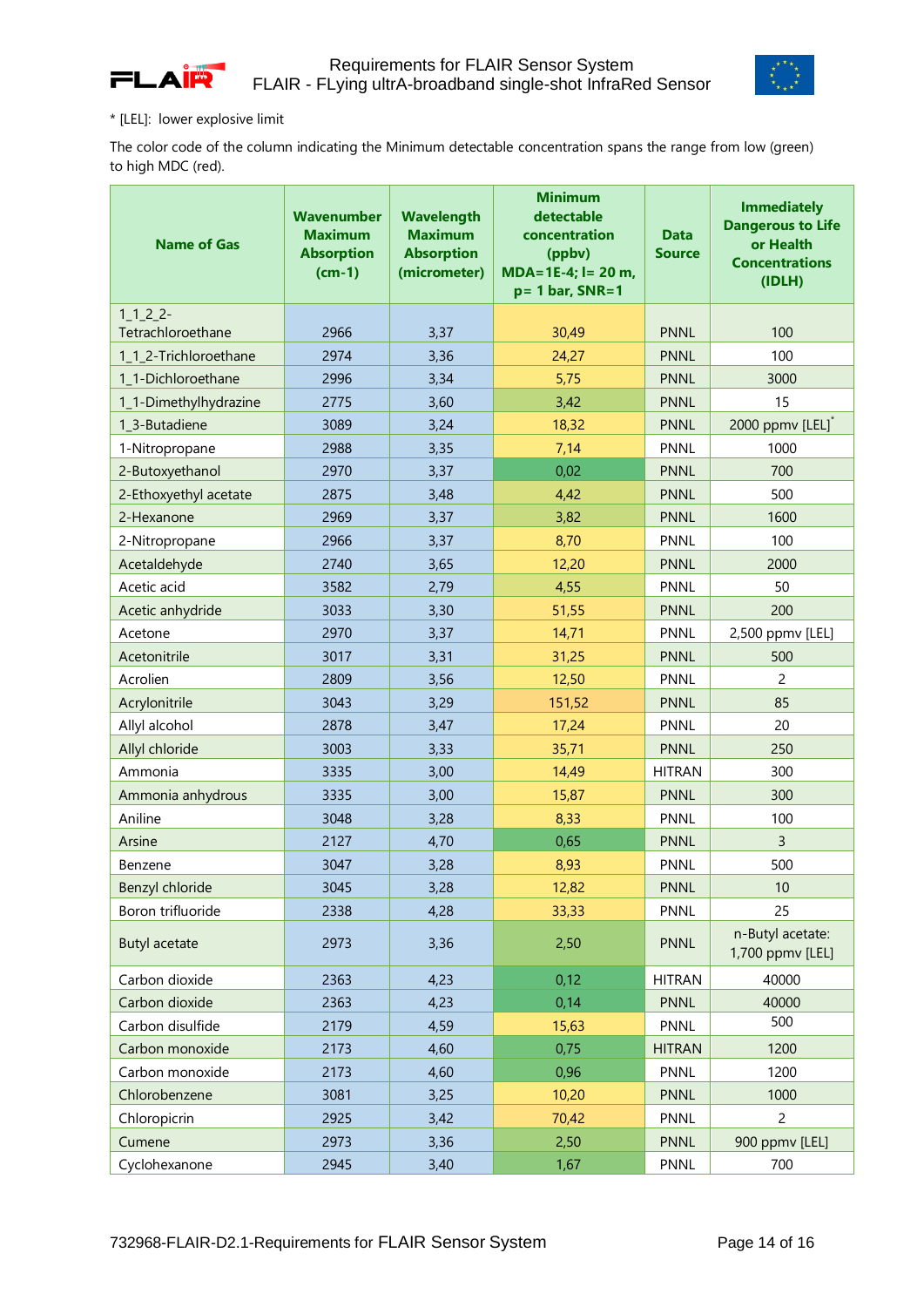



#### \* [LEL]: lower explosive limit

The color code of the column indicating the Minimum detectable concentration spans the range from low (green) to high MDC (red).

| <b>Name of Gas</b>    | Wavenumber<br><b>Maximum</b><br><b>Absorption</b><br>$(cm-1)$ | <b>Wavelength</b><br><b>Maximum</b><br><b>Absorption</b><br>(micrometer) | <b>Minimum</b><br>detectable<br>concentration<br>(ppbv)<br>$MDA = 1E-4$ ; l = 20 m,<br>$p = 1$ bar, SNR=1 | <b>Data</b><br><b>Source</b> | <b>Immediately</b><br><b>Dangerous to Life</b><br>or Health<br><b>Concentrations</b><br>(IDLH) |
|-----------------------|---------------------------------------------------------------|--------------------------------------------------------------------------|-----------------------------------------------------------------------------------------------------------|------------------------------|------------------------------------------------------------------------------------------------|
| $1_{122}$             |                                                               |                                                                          |                                                                                                           |                              |                                                                                                |
| Tetrachloroethane     | 2966                                                          | 3,37                                                                     | 30,49                                                                                                     | <b>PNNL</b>                  | 100                                                                                            |
| 1_1_2-Trichloroethane | 2974                                                          | 3,36                                                                     | 24,27                                                                                                     | <b>PNNL</b>                  | 100                                                                                            |
| 1_1-Dichloroethane    | 2996                                                          | 3,34                                                                     | 5,75                                                                                                      | <b>PNNL</b>                  | 3000                                                                                           |
| 1_1-Dimethylhydrazine | 2775                                                          | 3,60                                                                     | 3,42                                                                                                      | <b>PNNL</b>                  | 15                                                                                             |
| 1 3-Butadiene         | 3089                                                          | 3,24                                                                     | 18,32                                                                                                     | <b>PNNL</b>                  | 2000 ppmv [LEL]*                                                                               |
| 1-Nitropropane        | 2988                                                          | 3,35                                                                     | 7,14                                                                                                      | <b>PNNL</b>                  | 1000                                                                                           |
| 2-Butoxyethanol       | 2970                                                          | 3,37                                                                     | 0,02                                                                                                      | <b>PNNL</b>                  | 700                                                                                            |
| 2-Ethoxyethyl acetate | 2875                                                          | 3,48                                                                     | 4,42                                                                                                      | <b>PNNL</b>                  | 500                                                                                            |
| 2-Hexanone            | 2969                                                          | 3,37                                                                     | 3,82                                                                                                      | <b>PNNL</b>                  | 1600                                                                                           |
| 2-Nitropropane        | 2966                                                          | 3,37                                                                     | 8,70                                                                                                      | <b>PNNL</b>                  | 100                                                                                            |
| Acetaldehyde          | 2740                                                          | 3,65                                                                     | 12,20                                                                                                     | <b>PNNL</b>                  | 2000                                                                                           |
| Acetic acid           | 3582                                                          | 2,79                                                                     | 4,55                                                                                                      | <b>PNNL</b>                  | 50                                                                                             |
| Acetic anhydride      | 3033                                                          | 3,30                                                                     | 51,55                                                                                                     | <b>PNNL</b>                  | 200                                                                                            |
| Acetone               | 2970                                                          | 3,37                                                                     | 14,71                                                                                                     | <b>PNNL</b>                  | 2,500 ppmv [LEL]                                                                               |
| Acetonitrile          | 3017                                                          | 3,31                                                                     | 31,25                                                                                                     | <b>PNNL</b>                  | 500                                                                                            |
| Acrolien              | 2809                                                          | 3,56                                                                     | 12,50                                                                                                     | <b>PNNL</b>                  | 2                                                                                              |
| Acrylonitrile         | 3043                                                          | 3,29                                                                     | 151,52                                                                                                    | <b>PNNL</b>                  | 85                                                                                             |
| Allyl alcohol         | 2878                                                          | 3,47                                                                     | 17,24                                                                                                     | <b>PNNL</b>                  | 20                                                                                             |
| Allyl chloride        | 3003                                                          | 3,33                                                                     | 35,71                                                                                                     | <b>PNNL</b>                  | 250                                                                                            |
| Ammonia               | 3335                                                          | 3,00                                                                     | 14,49                                                                                                     | <b>HITRAN</b>                | 300                                                                                            |
| Ammonia anhydrous     | 3335                                                          | 3,00                                                                     | 15,87                                                                                                     | <b>PNNL</b>                  | 300                                                                                            |
| Aniline               | 3048                                                          | 3,28                                                                     | 8,33                                                                                                      | <b>PNNL</b>                  | 100                                                                                            |
| Arsine                | 2127                                                          | 4,70                                                                     | 0,65                                                                                                      | <b>PNNL</b>                  | $\overline{3}$                                                                                 |
| Benzene               | 3047                                                          | 3,28                                                                     | 8,93                                                                                                      | <b>PNNL</b>                  | 500                                                                                            |
| Benzyl chloride       | 3045                                                          | 3,28                                                                     | 12,82                                                                                                     | <b>PNNL</b>                  | 10                                                                                             |
| Boron trifluoride     | 2338                                                          | 4,28                                                                     | 33,33                                                                                                     | PNNL                         | 25                                                                                             |
| <b>Butyl acetate</b>  | 2973                                                          | 3,36                                                                     | 2,50                                                                                                      | <b>PNNL</b>                  | n-Butyl acetate:<br>1,700 ppmv [LEL]                                                           |
| Carbon dioxide        | 2363                                                          | 4,23                                                                     | 0,12                                                                                                      | <b>HITRAN</b>                | 40000                                                                                          |
| Carbon dioxide        | 2363                                                          | 4,23                                                                     | 0,14                                                                                                      | <b>PNNL</b>                  | 40000                                                                                          |
| Carbon disulfide      | 2179                                                          | 4,59                                                                     | 15,63                                                                                                     | PNNL                         | 500                                                                                            |
| Carbon monoxide       | 2173                                                          | 4,60                                                                     | 0,75                                                                                                      | <b>HITRAN</b>                | 1200                                                                                           |
| Carbon monoxide       | 2173                                                          | 4,60                                                                     | 0,96                                                                                                      | <b>PNNL</b>                  | 1200                                                                                           |
| Chlorobenzene         | 3081                                                          | 3,25                                                                     | 10,20                                                                                                     | <b>PNNL</b>                  | 1000                                                                                           |
| Chloropicrin          | 2925                                                          | 3,42                                                                     | 70,42                                                                                                     | PNNL                         | $\overline{2}$                                                                                 |
| Cumene                | 2973                                                          | 3,36                                                                     | 2,50                                                                                                      | <b>PNNL</b>                  | 900 ppmv [LEL]                                                                                 |
| Cyclohexanone         | 2945                                                          | 3,40                                                                     | 1,67                                                                                                      | PNNL                         | 700                                                                                            |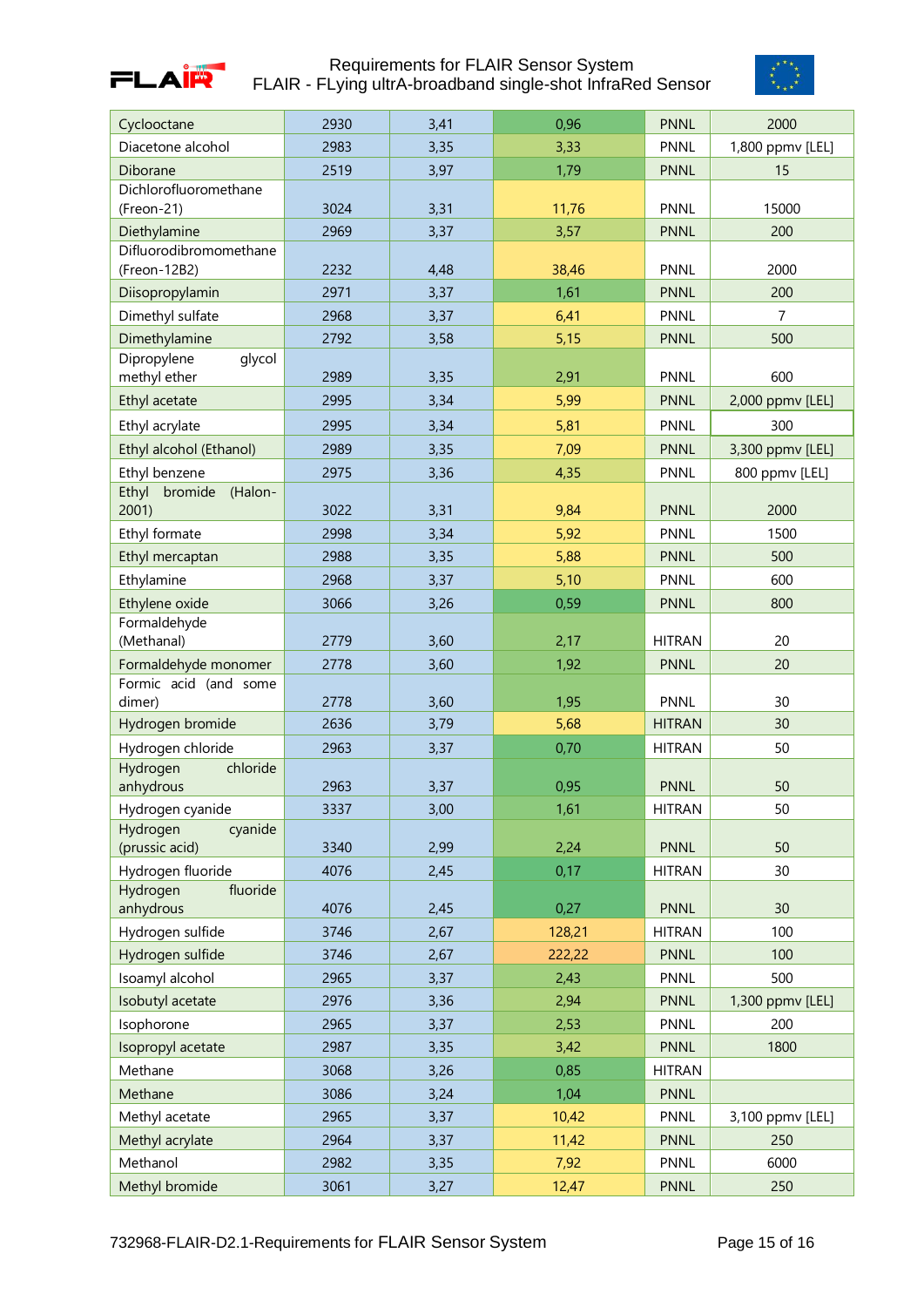



| Cyclooctane                               | 2930         | 3,41         | 0,96          | <b>PNNL</b>         | 2000             |
|-------------------------------------------|--------------|--------------|---------------|---------------------|------------------|
| Diacetone alcohol                         | 2983         | 3,35         | 3,33          | <b>PNNL</b>         | 1,800 ppmv [LEL] |
| Diborane                                  | 2519         | 3,97         | 1,79          | <b>PNNL</b>         | 15               |
| Dichlorofluoromethane                     |              |              |               |                     |                  |
| (Freon-21)                                | 3024         | 3,31         | 11,76         | <b>PNNL</b>         | 15000            |
| Diethylamine                              | 2969         | 3,37         | 3,57          | <b>PNNL</b>         | 200              |
| Difluorodibromomethane                    |              |              |               |                     |                  |
| (Freon-12B2)                              | 2232         | 4,48         | 38,46         | <b>PNNL</b>         | 2000             |
| Diisopropylamin                           | 2971         | 3,37         | 1,61          | <b>PNNL</b>         | 200              |
| Dimethyl sulfate                          | 2968         | 3,37         | 6,41          | <b>PNNL</b>         | $\overline{7}$   |
| Dimethylamine                             | 2792         | 3,58         | 5,15          | <b>PNNL</b>         | 500              |
| Dipropylene<br>glycol                     |              |              |               |                     |                  |
| methyl ether                              | 2989         | 3,35         | 2,91          | <b>PNNL</b>         | 600              |
| Ethyl acetate                             | 2995         | 3,34         | 5,99          | <b>PNNL</b>         | 2,000 ppmv [LEL] |
| Ethyl acrylate                            | 2995         | 3,34         | 5,81          | <b>PNNL</b>         | 300              |
| Ethyl alcohol (Ethanol)                   | 2989         | 3,35         | 7,09          | <b>PNNL</b>         | 3,300 ppmv [LEL] |
| Ethyl benzene                             | 2975         | 3,36         | 4,35          | <b>PNNL</b>         | 800 ppmv [LEL]   |
| Ethyl<br>bromide<br>(Halon-               |              |              |               |                     |                  |
| 2001                                      | 3022         | 3,31         | 9,84          | <b>PNNL</b>         | 2000             |
| Ethyl formate                             | 2998         | 3,34         | 5,92          | <b>PNNL</b>         | 1500             |
| Ethyl mercaptan                           | 2988         | 3,35         | 5,88          | <b>PNNL</b>         | 500              |
| Ethylamine                                | 2968         | 3,37         | 5,10          | <b>PNNL</b>         | 600              |
| Ethylene oxide                            | 3066         | 3,26         | 0,59          | <b>PNNL</b>         | 800              |
| Formaldehyde                              |              |              |               |                     |                  |
| (Methanal)                                | 2779         | 3,60         | 2,17          | <b>HITRAN</b>       | 20               |
|                                           |              |              |               |                     |                  |
| Formaldehyde monomer                      | 2778         | 3,60         | 1,92          | <b>PNNL</b>         | 20               |
| Formic acid (and some                     |              |              |               |                     |                  |
| dimer)                                    | 2778         | 3,60         | 1,95          | <b>PNNL</b>         | 30               |
| Hydrogen bromide                          | 2636         | 3,79         | 5,68          | <b>HITRAN</b>       | 30               |
| Hydrogen chloride                         | 2963         | 3,37         | 0,70          | <b>HITRAN</b>       | 50               |
| chloride<br>Hydrogen                      |              |              |               |                     |                  |
| anhydrous                                 | 2963         | 3,37         | 0,95          | <b>PNNL</b>         | 50               |
| Hydrogen cyanide                          | 3337         | 3,00         | 1,61          | <b>HITRAN</b>       | 50               |
| cyanide<br>Hydrogen<br>(prussic acid)     | 3340         | 2,99         |               | <b>PNNL</b>         | 50               |
|                                           |              |              | 2,24          |                     |                  |
| Hydrogen fluoride<br>fluoride<br>Hydrogen | 4076         | 2,45         | 0,17          | <b>HITRAN</b>       | 30               |
| anhydrous                                 | 4076         | 2,45         | 0,27          | <b>PNNL</b>         | 30               |
| Hydrogen sulfide                          | 3746         | 2,67         | 128,21        | <b>HITRAN</b>       | 100              |
| Hydrogen sulfide                          | 3746         | 2,67         | 222,22        | <b>PNNL</b>         | 100              |
| Isoamyl alcohol                           | 2965         | 3,37         | 2,43          | <b>PNNL</b>         | 500              |
| Isobutyl acetate                          | 2976         | 3,36         | 2,94          | <b>PNNL</b>         | 1,300 ppmv [LEL] |
| Isophorone                                | 2965         | 3,37         | 2,53          | PNNL                | 200              |
| Isopropyl acetate                         | 2987         | 3,35         | 3,42          | <b>PNNL</b>         | 1800             |
|                                           |              |              |               |                     |                  |
| Methane                                   | 3068         | 3,26         | 0,85          | <b>HITRAN</b>       |                  |
| Methane                                   | 3086         | 3,24         | 1,04          | <b>PNNL</b>         |                  |
| Methyl acetate                            | 2965         | 3,37         | 10,42         | <b>PNNL</b>         | 3,100 ppmv [LEL] |
| Methyl acrylate                           | 2964         | 3,37         | 11,42         | <b>PNNL</b>         | 250              |
| Methanol<br>Methyl bromide                | 2982<br>3061 | 3,35<br>3,27 | 7,92<br>12,47 | PNNL<br><b>PNNL</b> | 6000<br>250      |